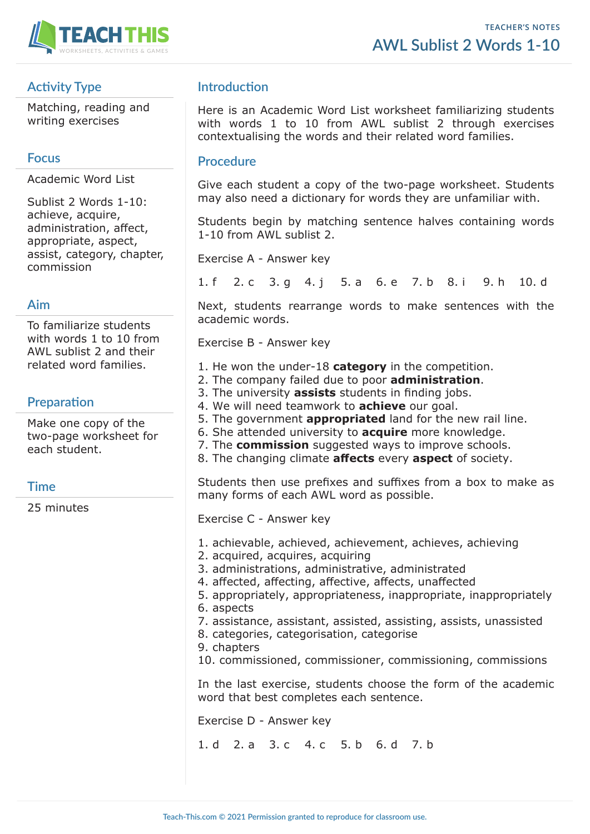

# **Activity Type**

Matching, reading and writing exercises

#### **Focus**

Academic Word List

Sublist 2 Words 1-10: achieve, acquire, administration, affect, appropriate, aspect, assist, category, chapter, commission

#### **Aim**

To familiarize students with words 1 to 10 from AWL sublist 2 and their related word families.

## **Preparation**

Make one copy of the two-page worksheet for each student.

## **Time**

25 minutes

# **Introduction**

Here is an Academic Word List worksheet familiarizing students with words 1 to 10 from AWL sublist 2 through exercises contextualising the words and their related word families.

#### **Procedure**

Give each student a copy of the two-page worksheet. Students may also need a dictionary for words they are unfamiliar with.

Students begin by matching sentence halves containing words 1-10 from AWL sublist 2.

Exercise A - Answer key

1. f 2. c 3. g 4. j 5. a 6. e 7. b 8. i 9. h 10. d

Next, students rearrange words to make sentences with the academic words.

Exercise B - Answer key

- 1. He won the under-18 **category** in the competition.
- 2. The company failed due to poor **administration**.
- 3. The university **assists** students in finding jobs.
- 4. We will need teamwork to **achieve** our goal.
- 5. The government **appropriated** land for the new rail line.
- 6. She attended university to **acquire** more knowledge.
- 7. The **commission** suggested ways to improve schools.
- 8. The changing climate **affects** every **aspect** of society.

Students then use prefixes and suffixes from a box to make as many forms of each AWL word as possible.

Exercise C - Answer key

- 1. achievable, achieved, achievement, achieves, achieving
- 2. acquired, acquires, acquiring
- 3. administrations, administrative, administrated
- 4. affected, affecting, affective, affects, unaffected
- 5. appropriately, appropriateness, inappropriate, inappropriately
- 6. aspects
- 7. assistance, assistant, assisted, assisting, assists, unassisted
- 8. categories, categorisation, categorise
- 9. chapters

10. commissioned, commissioner, commissioning, commissions

In the last exercise, students choose the form of the academic word that best completes each sentence.

Exercise D - Answer key

1. d 2. a 3. c 4. c 5. b 6. d 7. b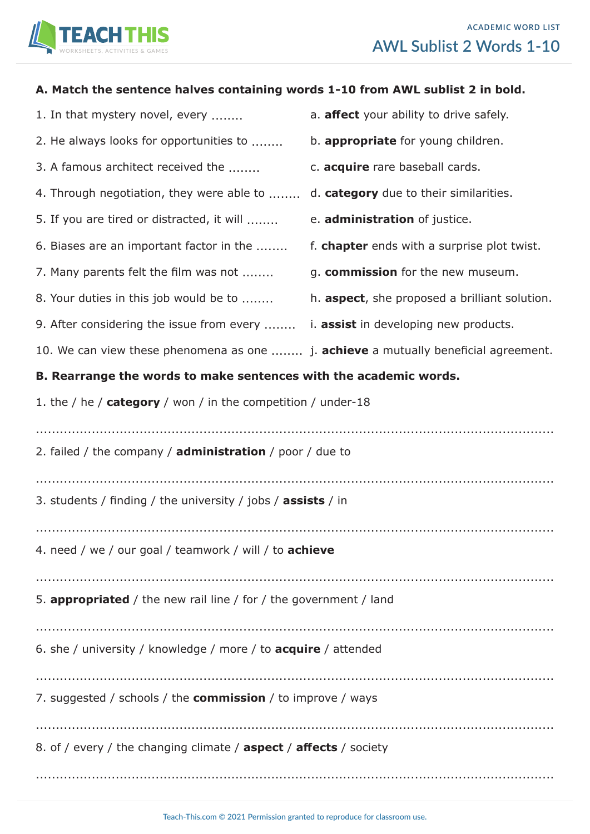

| A. Match the sentence halves containing words 1-10 from AWL sublist 2 in bold.             |                                               |  |  |  |  |  |  |  |  |  |  |
|--------------------------------------------------------------------------------------------|-----------------------------------------------|--|--|--|--|--|--|--|--|--|--|
| 1. In that mystery novel, every                                                            | a. affect your ability to drive safely.       |  |  |  |  |  |  |  |  |  |  |
| 2. He always looks for opportunities to                                                    | b. appropriate for young children.            |  |  |  |  |  |  |  |  |  |  |
| 3. A famous architect received the                                                         | c. acquire rare baseball cards.               |  |  |  |  |  |  |  |  |  |  |
| 4. Through negotiation, they were able to                                                  | d. category due to their similarities.        |  |  |  |  |  |  |  |  |  |  |
| 5. If you are tired or distracted, it will                                                 | e. administration of justice.                 |  |  |  |  |  |  |  |  |  |  |
| 6. Biases are an important factor in the                                                   | f. chapter ends with a surprise plot twist.   |  |  |  |  |  |  |  |  |  |  |
| 7. Many parents felt the film was not                                                      | g. commission for the new museum.             |  |  |  |  |  |  |  |  |  |  |
| 8. Your duties in this job would be to                                                     | h. aspect, she proposed a brilliant solution. |  |  |  |  |  |  |  |  |  |  |
| 9. After considering the issue from every                                                  | <i>i.</i> assist in developing new products.  |  |  |  |  |  |  |  |  |  |  |
| 10. We can view these phenomena as one  j. <b>achieve</b> a mutually beneficial agreement. |                                               |  |  |  |  |  |  |  |  |  |  |
| B. Rearrange the words to make sentences with the academic words.                          |                                               |  |  |  |  |  |  |  |  |  |  |
| 1. the / he / $category$ / won / in the competition / under-18                             |                                               |  |  |  |  |  |  |  |  |  |  |
|                                                                                            |                                               |  |  |  |  |  |  |  |  |  |  |
| 2. failed / the company / administration / poor / due to                                   |                                               |  |  |  |  |  |  |  |  |  |  |
|                                                                                            |                                               |  |  |  |  |  |  |  |  |  |  |
| 3. students / finding / the university / jobs / <b>assists</b> / in                        |                                               |  |  |  |  |  |  |  |  |  |  |
|                                                                                            |                                               |  |  |  |  |  |  |  |  |  |  |
| 4. need / we / our goal / teamwork / will / to achieve                                     |                                               |  |  |  |  |  |  |  |  |  |  |
|                                                                                            |                                               |  |  |  |  |  |  |  |  |  |  |
| 5. appropriated / the new rail line / for / the government / land                          |                                               |  |  |  |  |  |  |  |  |  |  |
|                                                                                            |                                               |  |  |  |  |  |  |  |  |  |  |
| 6. she / university / knowledge / more / to <b>acquire</b> / attended                      |                                               |  |  |  |  |  |  |  |  |  |  |
|                                                                                            |                                               |  |  |  |  |  |  |  |  |  |  |

7. suggested / schools / the **commission** / to improve / ways

..................................................................................................................................

8. of / every / the changing climate / **aspect** / **affects** / society

..................................................................................................................................